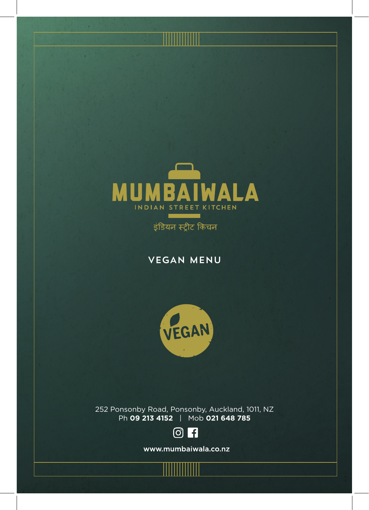

इंडियन स्ट्रीट किचन

VEGAN MENU



252 Ponsonby Road, Ponsonby, Auckland, 1011, NZ Ph **09 213 4152** | Mob **021 648 785**



www.mumbaiwala.co.nz